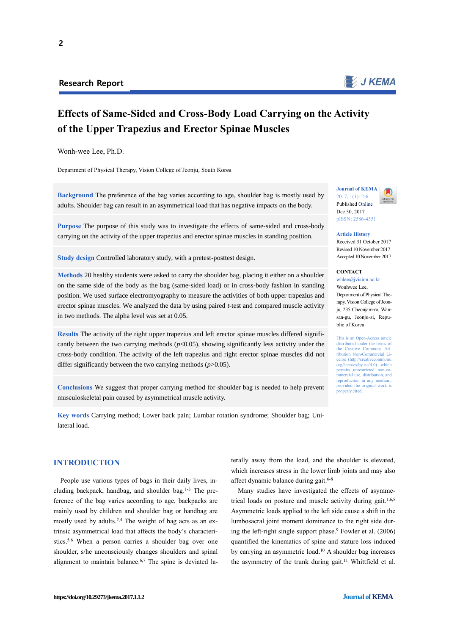

# **Effects of Same-Sided and Cross-Body Load Carrying on the Activity of the Upper Trapezius and Erector Spinae Muscles**

Wonh-wee Lee, Ph.D.

Department of Physical Therapy, Vision College of Jeonju, South Korea

**Background** The preference of the bag varies according to age, shoulder bag is mostly used by adults. Shoulder bag can result in an asymmetrical load that has negative impacts on the body.

**Purpose** The purpose of this study was to investigate the effects of same-sided and cross-body carrying on the activity of the upper trapezius and erector spinae muscles in standing position.

**Study design** Controlled laboratory study, with a pretest-posttest design.

**Methods** 20 healthy students were asked to carry the shoulder bag, placing it either on a shoulder on the same side of the body as the bag (same-sided load) or in cross-body fashion in standing position. We used surface electromyography to measure the activities of both upper trapezius and erector spinae muscles. We analyzed the data by using paired *t*-test and compared muscle activity in two methods. The alpha level was set at 0.05.

**Results** The activity of the right upper trapezius and left erector spinae muscles differed significantly between the two carrying methods  $(p<0.05)$ , showing significantly less activity under the cross-body condition. The activity of the left trapezius and right erector spinae muscles did not differ significantly between the two carrying methods (*p*>0.05).

**Conclusions** We suggest that proper carrying method for shoulder bag is needed to help prevent musculoskeletal pain caused by asymmetrical muscle activity.

**Key words** Carrying method; Lower back pain; Lumbar rotation syndrome; Shoulder bag; Unilateral load.

## **INTRODUCTION**

People use various types of bags in their daily lives, including backpack, handbag, and shoulder bag. 1-3 The preference of the bag varies according to age, backpacks are mainly used by children and shoulder bag or handbag are mostly used by adults.2,4 The weight of bag acts as an extrinsic asymmetrical load that affects the body's characteristics. 5,6 When a person carries a shoulder bag over one shoulder, s/he unconsciously changes shoulders and spinal alignment to maintain balance. 6,7 The spine is deviated laterally away from the load, and the shoulder is elevated, which increases stress in the lower limb joints and may also affect dynamic balance during gait. 6-8

Many studies have investigated the effects of asymmetrical loads on posture and muscle activity during gait.<sup>1,6,8</sup> Asymmetric loads applied to the left side cause a shift in the lumbosacral joint moment dominance to the right side during the left-right single support phase. <sup>9</sup> Fowler et al. (2006) quantified the kinematics of spine and stature loss induced by carrying an asymmetric load. <sup>10</sup> A shoulder bag increases the asymmetry of the trunk during gait.<sup>11</sup> Whittfield et al.



**Article History** Received 31 October 2017 Revised 10 November 2017

Accepted 10 November 2017

**CONTACT**  whlee $@$ ivision ac.kr

Wonhwee Lee, Department of Physical Therapy, Vision College of Jeonju, 235 Cheoniam-ro, Wansan-gu, Jeonju-si, Republic of Korea

This is an Open-Access article distributed under the terms of the Creative Commons Att-ribution Non-Commercial License (http://creativecomm org/licenses/by-nc/4.0) which  $permits$  unrestricted non-c mmercial use, distribution, and reproduction in any medium, provided the original work is properly cited.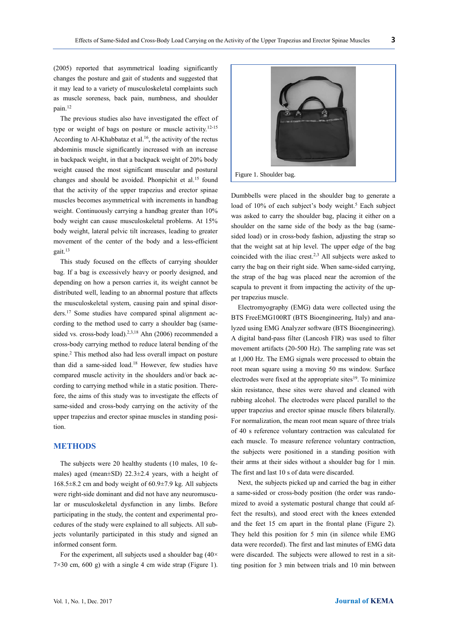(2005) reported that asymmetrical loading significantly changes the posture and gait of students and suggested that it may lead to a variety of musculoskeletal complaints such as muscle soreness, back pain, numbness, and shoulder pain. 12

The previous studies also have investigated the effect of type or weight of bags on posture or muscle activity.12-15 According to Al-Khabbataz et al.<sup>16</sup>, the activity of the rectus abdominis muscle significantly increased with an increase in backpack weight, in that a backpack weight of 20% body weight caused the most significant muscular and postural changes and should be avoided. Phonpichit et al.<sup>15</sup> found that the activity of the upper trapezius and erector spinae muscles becomes asymmetrical with increments in handbag weight. Continuously carrying a handbag greater than 10% body weight can cause musculoskeletal problems. At 15% body weight, lateral pelvic tilt increases, leading to greater movement of the center of the body and a less-efficient gait. 13

This study focused on the effects of carrying shoulder bag. If a bag is excessively heavy or poorly designed, and depending on how a person carries it, its weight cannot be distributed well, leading to an abnormal posture that affects the musculoskeletal system, causing pain and spinal disorders. <sup>17</sup> Some studies have compared spinal alignment according to the method used to carry a shoulder bag (samesided vs. cross-body load).<sup>2,3,18</sup> Ahn (2006) recommended a cross-body carrying method to reduce lateral bending of the spine. <sup>2</sup> This method also had less overall impact on posture than did a same-sided load. <sup>18</sup> However, few studies have compared muscle activity in the shoulders and/or back according to carrying method while in a static position. Therefore, the aims of this study was to investigate the effects of same-sided and cross-body carrying on the activity of the upper trapezius and erector spinae muscles in standing position.

#### **METHODS**

The subjects were 20 healthy students (10 males, 10 females) aged (mean±SD) 22.3±2.4 years, with a height of 168.5±8.2 cm and body weight of 60.9±7.9 kg. All subjects were right-side dominant and did not have any neuromuscular or musculoskeletal dysfunction in any limbs. Before participating in the study, the content and experimental procedures of the study were explained to all subjects. All subjects voluntarily participated in this study and signed an informed consent form.

For the experiment, all subjects used a shoulder bag  $(40 \times$  $7\times30$  cm,  $600$  g) with a single 4 cm wide strap (Figure 1).



Dumbbells were placed in the shoulder bag to generate a load of 10% of each subject's body weight.<sup>5</sup> Each subject was asked to carry the shoulder bag, placing it either on a shoulder on the same side of the body as the bag (samesided load) or in cross-body fashion, adjusting the strap so that the weight sat at hip level. The upper edge of the bag coincided with the iliac crest. 2,3 All subjects were asked to carry the bag on their right side. When same-sided carrying, the strap of the bag was placed near the acromion of the scapula to prevent it from impacting the activity of the upper trapezius muscle.

Electromyography (EMG) data were collected using the BTS FreeEMG100RT (BTS Bioengineering, Italy) and analyzed using EMG Analyzer software (BTS Bioengineering). A digital band-pass filter (Lancosh FIR) was used to filter movement artifacts (20-500 Hz). The sampling rate was set at 1,000 Hz. The EMG signals were processed to obtain the root mean square using a moving 50 ms window. Surface electrodes were fixed at the appropriate sites<sup>19</sup>. To minimize skin resistance, these sites were shaved and cleaned with rubbing alcohol. The electrodes were placed parallel to the upper trapezius and erector spinae muscle fibers bilaterally. For normalization, the mean root mean square of three trials of 40 s reference voluntary contraction was calculated for each muscle. To measure reference voluntary contraction, the subjects were positioned in a standing position with their arms at their sides without a shoulder bag for 1 min. The first and last 10 s of data were discarded.

Next, the subjects picked up and carried the bag in either a same-sided or cross-body position (the order was randomized to avoid a systematic postural change that could affect the results), and stood erect with the knees extended and the feet 15 cm apart in the frontal plane (Figure 2). They held this position for 5 min (in silence while EMG data were recorded). The first and last minutes of EMG data were discarded. The subjects were allowed to rest in a sitting position for 3 min between trials and 10 min between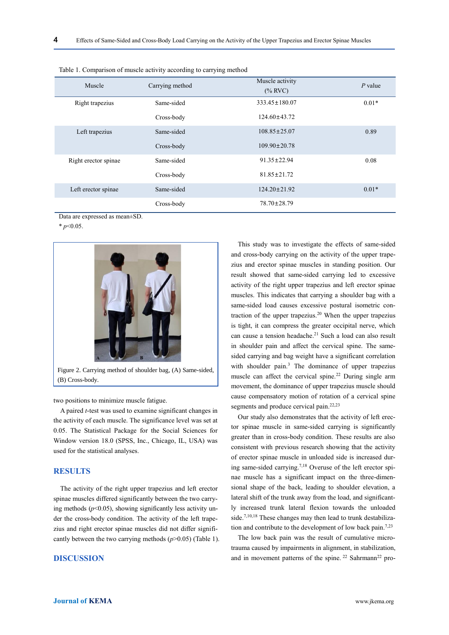| Muscle               | Carrying method | Muscle activity<br>$(\%$ RVC) | $P$ value |
|----------------------|-----------------|-------------------------------|-----------|
| Right trapezius      | Same-sided      | $333.45 \pm 180.07$           | $0.01*$   |
|                      | Cross-body      | $124.60 \pm 43.72$            |           |
| Left trapezius       | Same-sided      | $108.85 \pm 25.07$            | 0.89      |
|                      | Cross-body      | $109.90 \pm 20.78$            |           |
| Right erector spinae | Same-sided      | $91.35 \pm 22.94$             | 0.08      |
|                      | Cross-body      | $81.85 \pm 21.72$             |           |
| Left erector spinae  | Same-sided      | $124.20 \pm 21.92$            | $0.01*$   |
|                      | Cross-body      | $78.70 \pm 28.79$             |           |

|  |  | Table 1. Comparison of muscle activity according to carrying method |
|--|--|---------------------------------------------------------------------|
|  |  |                                                                     |

Data are expressed as mean±SD.

\* *p*<0.05.



two positions to minimize muscle fatigue.

A paired *t*-test was used to examine significant changes in the activity of each muscle. The significance level was set at 0.05. The Statistical Package for the Social Sciences for Window version 18.0 (SPSS, Inc., Chicago, IL, USA) was used for the statistical analyses.

#### **RESULTS**

The activity of the right upper trapezius and left erector spinae muscles differed significantly between the two carrying methods  $(p<0.05)$ , showing significantly less activity under the cross-body condition. The activity of the left trapezius and right erector spinae muscles did not differ significantly between the two carrying methods (*p*>0.05) (Table 1).

#### **DISCUSSION**

This study was to investigate the effects of same-sided and cross-body carrying on the activity of the upper trapezius and erector spinae muscles in standing position. Our result showed that same-sided carrying led to excessive activity of the right upper trapezius and left erector spinae muscles. This indicates that carrying a shoulder bag with a same-sided load causes excessive postural isometric contraction of the upper trapezius. <sup>20</sup> When the upper trapezius is tight, it can compress the greater occipital nerve, which can cause a tension headache. <sup>21</sup> Such a load can also result in shoulder pain and affect the cervical spine. The samesided carrying and bag weight have a significant correlation with shoulder pain.<sup>3</sup> The dominance of upper trapezius muscle can affect the cervical spine.<sup>22</sup> During single arm movement, the dominance of upper trapezius muscle should cause compensatory motion of rotation of a cervical spine segments and produce cervical pain.<sup>22,23</sup>

Our study also demonstrates that the activity of left erector spinae muscle in same-sided carrying is significantly greater than in cross-body condition. These results are also consistent with previous research showing that the activity of erector spinae muscle in unloaded side is increased during same-sided carrying.7,18 Overuse of the left erector spinae muscle has a significant impact on the three-dimensional shape of the back, leading to shoulder elevation, a lateral shift of the trunk away from the load, and significantly increased trunk lateral flexion towards the unloaded side. 7,10,18 These changes may then lead to trunk destabilization and contribute to the development of low back pain.<sup>7,23</sup>

The low back pain was the result of cumulative microtrauma caused by impairments in alignment, in stabilization, and in movement patterns of the spine.  $22$  Sahrmann<sup>22</sup> pro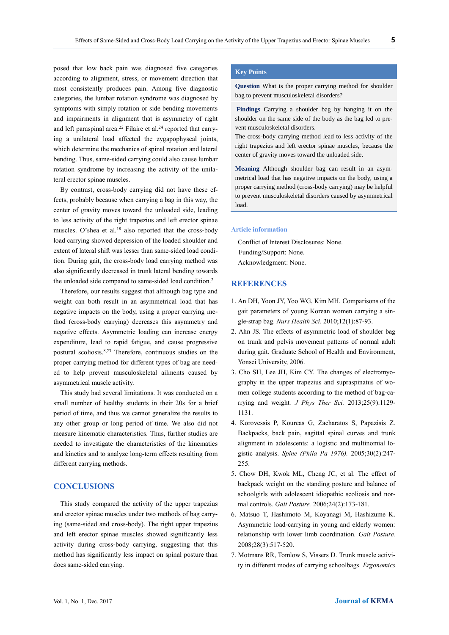posed that low back pain was diagnosed five categories according to alignment, stress, or movement direction that most consistently produces pain. Among five diagnostic categories, the lumbar rotation syndrome was diagnosed by symptoms with simply rotation or side bending movements and impairments in alignment that is asymmetry of right and left paraspinal area.<sup>22</sup> Filaire et al.<sup>24</sup> reported that carry-

ing a unilateral load affected the zygapophyseal joints, which determine the mechanics of spinal rotation and lateral bending. Thus, same-sided carrying could also cause lumbar rotation syndrome by increasing the activity of the unilateral erector spinae muscles.

By contrast, cross-body carrying did not have these effects, probably because when carrying a bag in this way, the center of gravity moves toward the unloaded side, leading to less activity of the right trapezius and left erector spinae muscles. O'shea et al.<sup>18</sup> also reported that the cross-body load carrying showed depression of the loaded shoulder and extent of lateral shift was lesser than same-sided load condition. During gait, the cross-body load carrying method was also significantly decreased in trunk lateral bending towards the unloaded side compared to same-sided load condition.<sup>2</sup>

Therefore, our results suggest that although bag type and weight can both result in an asymmetrical load that has negative impacts on the body, using a proper carrying method (cross-body carrying) decreases this asymmetry and negative effects. Asymmetric loading can increase energy expenditure, lead to rapid fatigue, and cause progressive postural scoliosis. 8,23 Therefore, continuous studies on the proper carrying method for different types of bag are needed to help prevent musculoskeletal ailments caused by asymmetrical muscle activity.

This study had several limitations. It was conducted on a small number of healthy students in their 20s for a brief period of time, and thus we cannot generalize the results to any other group or long period of time. We also did not measure kinematic characteristics. Thus, further studies are needed to investigate the characteristics of the kinematics and kinetics and to analyze long-term effects resulting from different carrying methods.

#### **CONCLUSIONS**

This study compared the activity of the upper trapezius and erector spinae muscles under two methods of bag carrying (same-sided and cross-body). The right upper trapezius and left erector spinae muscles showed significantly less activity during cross-body carrying, suggesting that this method has significantly less impact on spinal posture than does same-sided carrying.

### **Key Points**

**Question** What is the proper carrying method for shoulder bag to prevent musculoskeletal disorders?

**Findings** Carrying a shoulder bag by hanging it on the shoulder on the same side of the body as the bag led to prevent musculoskeletal disorders.

The cross-body carrying method lead to less activity of the right trapezius and left erector spinae muscles, because the center of gravity moves toward the unloaded side.

**Meaning** Although shoulder bag can result in an asymmetrical load that has negative impacts on the body, using a proper carrying method (cross-body carrying) may be helpful to prevent musculoskeletal disorders caused by asymmetrical load.

#### **Article information**

Conflict of Interest Disclosures: None. Funding/Support: None. Acknowledgment: None.

## **REFERENCES**

- 1. An DH, Yoon JY, Yoo WG, Kim MH. Comparisons of the gait parameters of young Korean women carrying a single-strap bag. *Nurs Health Sci*. 2010;12(1):87-93.
- 2. Ahn JS. The effects of asymmetric load of shoulder bag on trunk and pelvis movement patterns of normal adult during gait. Graduate School of Health and Environment, Yonsei University, 2006.
- 3. Cho SH, Lee JH, Kim CY. The changes of electromyography in the upper trapezius and supraspinatus of women college students according to the method of bag-carrying and weight*. J Phys Ther Sci.* 2013;25(9):1129- 1131.
- 4. Korovessis P, Koureas G, Zacharatos S, Papazisis Z. Backpacks, back pain, sagittal spinal curves and trunk alignment in adolescents: a logistic and multinomial logistic analysis. *Spine (Phila Pa 1976).* 2005;30(2):247- 255.
- 5. Chow DH, Kwok ML, Cheng JC, et al. The effect of backpack weight on the standing posture and balance of schoolgirls with adolescent idiopathic scoliosis and normal controls*. Gait Posture.* 2006;24(2):173-181.
- 6. Matsuo T, Hashimoto M, Koyanagi M, Hashizume K. Asymmetric load-carrying in young and elderly women: relationship with lower limb coordination*. Gait Posture.*  2008;28(3):517-520.
- 7. Motmans RR, Tomlow S, Vissers D. Trunk muscle activity in different modes of carrying schoolbags. *Ergonomics.*